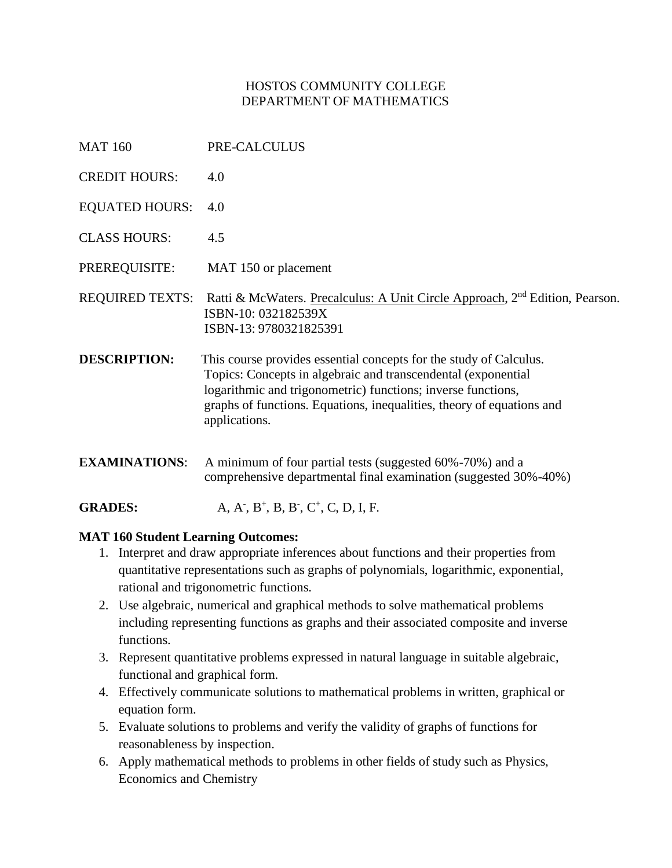### HOSTOS COMMUNITY COLLEGE DEPARTMENT OF MATHEMATICS

- MAT 160 PRE-CALCULUS
- CREDIT HOURS: 4.0
- EQUATED HOURS: 4.0
- CLASS HOURS: 4.5
- PREREQUISITE: MAT 150 or placement

REQUIRED TEXTS: Ratti & McWaters. Precalculus: A Unit Circle Approach, 2<sup>nd</sup> Edition, Pearson. ISBN-10: 032182539X ISBN-13: 9780321825391

- **DESCRIPTION:** This course provides essential concepts for the study of Calculus. Topics: Concepts in algebraic and transcendental (exponential logarithmic and trigonometric) functions; inverse functions, graphs of functions. Equations, inequalities, theory of equations and applications.
- **EXAMINATIONS:** A minimum of four partial tests (suggested 60%-70%) and a comprehensive departmental final examination (suggested 30%-40%)

**GRADES:** , B<sup>+</sup>, B, B<sup>-</sup>, C<sup>+</sup>, C, D, I, F.

#### **MAT 160 Student Learning Outcomes:**

- 1. Interpret and draw appropriate inferences about functions and their properties from quantitative representations such as graphs of polynomials, logarithmic, exponential, rational and trigonometric functions.
- 2. Use algebraic, numerical and graphical methods to solve mathematical problems including representing functions as graphs and their associated composite and inverse functions.
- 3. Represent quantitative problems expressed in natural language in suitable algebraic, functional and graphical form.
- 4. Effectively communicate solutions to mathematical problems in written, graphical or equation form.
- 5. Evaluate solutions to problems and verify the validity of graphs of functions for reasonableness by inspection.
- 6. Apply mathematical methods to problems in other fields of study such as Physics, Economics and Chemistry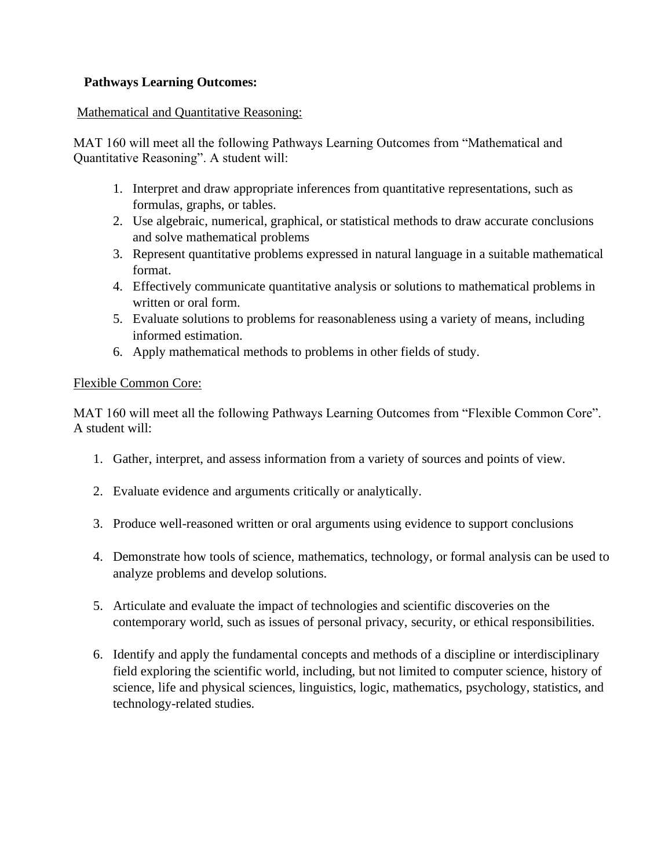### **Pathways Learning Outcomes:**

### Mathematical and Quantitative Reasoning:

MAT 160 will meet all the following Pathways Learning Outcomes from "Mathematical and Quantitative Reasoning". A student will:

- 1. Interpret and draw appropriate inferences from quantitative representations, such as formulas, graphs, or tables.
- 2. Use algebraic, numerical, graphical, or statistical methods to draw accurate conclusions and solve mathematical problems
- 3. Represent quantitative problems expressed in natural language in a suitable mathematical format.
- 4. Effectively communicate quantitative analysis or solutions to mathematical problems in written or oral form.
- 5. Evaluate solutions to problems for reasonableness using a variety of means, including informed estimation.
- 6. Apply mathematical methods to problems in other fields of study.

### Flexible Common Core:

MAT 160 will meet all the following Pathways Learning Outcomes from "Flexible Common Core". A student will:

- 1. Gather, interpret, and assess information from a variety of sources and points of view.
- 2. Evaluate evidence and arguments critically or analytically.
- 3. Produce well-reasoned written or oral arguments using evidence to support conclusions
- 4. Demonstrate how tools of science, mathematics, technology, or formal analysis can be used to analyze problems and develop solutions.
- 5. Articulate and evaluate the impact of technologies and scientific discoveries on the contemporary world, such as issues of personal privacy, security, or ethical responsibilities.
- 6. Identify and apply the fundamental concepts and methods of a discipline or interdisciplinary field exploring the scientific world, including, but not limited to computer science, history of science, life and physical sciences, linguistics, logic, mathematics, psychology, statistics, and technology-related studies.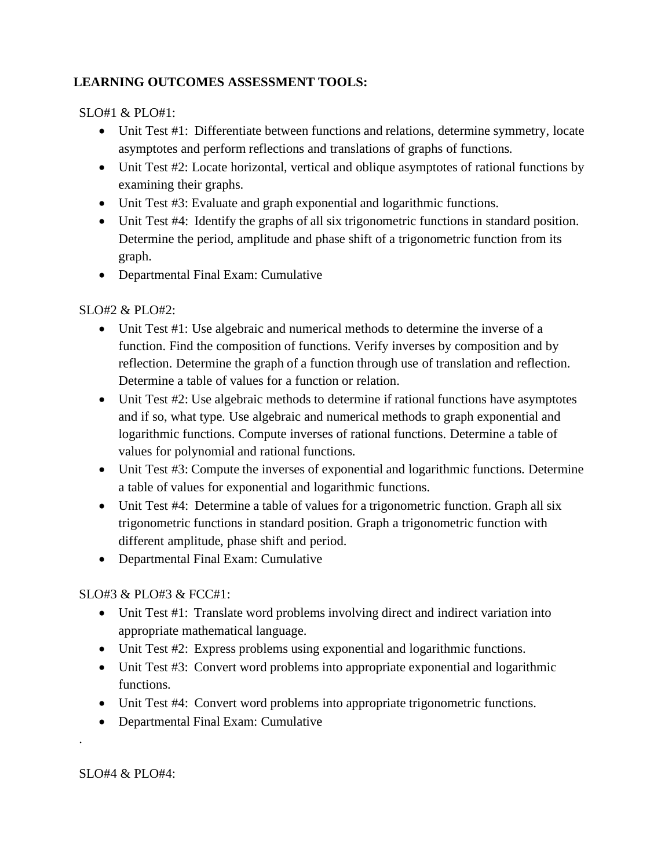# **LEARNING OUTCOMES ASSESSMENT TOOLS:**

### SLO#1  $\&$  PLO#1:

- Unit Test #1: Differentiate between functions and relations, determine symmetry, locate asymptotes and perform reflections and translations of graphs of functions.
- Unit Test #2: Locate horizontal, vertical and oblique asymptotes of rational functions by examining their graphs.
- Unit Test #3: Evaluate and graph exponential and logarithmic functions.
- Unit Test #4: Identify the graphs of all six trigonometric functions in standard position. Determine the period, amplitude and phase shift of a trigonometric function from its graph.
- Departmental Final Exam: Cumulative

## SLO#2 & PLO#2:

- Unit Test #1: Use algebraic and numerical methods to determine the inverse of a function. Find the composition of functions. Verify inverses by composition and by reflection. Determine the graph of a function through use of translation and reflection. Determine a table of values for a function or relation.
- Unit Test #2: Use algebraic methods to determine if rational functions have asymptotes and if so, what type. Use algebraic and numerical methods to graph exponential and logarithmic functions. Compute inverses of rational functions. Determine a table of values for polynomial and rational functions.
- Unit Test #3: Compute the inverses of exponential and logarithmic functions. Determine a table of values for exponential and logarithmic functions.
- Unit Test #4: Determine a table of values for a trigonometric function. Graph all six trigonometric functions in standard position. Graph a trigonometric function with different amplitude, phase shift and period.
- Departmental Final Exam: Cumulative

## SLO#3 & PLO#3 & FCC#1:

- Unit Test #1: Translate word problems involving direct and indirect variation into appropriate mathematical language.
- Unit Test #2: Express problems using exponential and logarithmic functions.
- Unit Test #3: Convert word problems into appropriate exponential and logarithmic functions.
- Unit Test #4: Convert word problems into appropriate trigonometric functions.
- Departmental Final Exam: Cumulative

SLO#4 & PLO#4:

.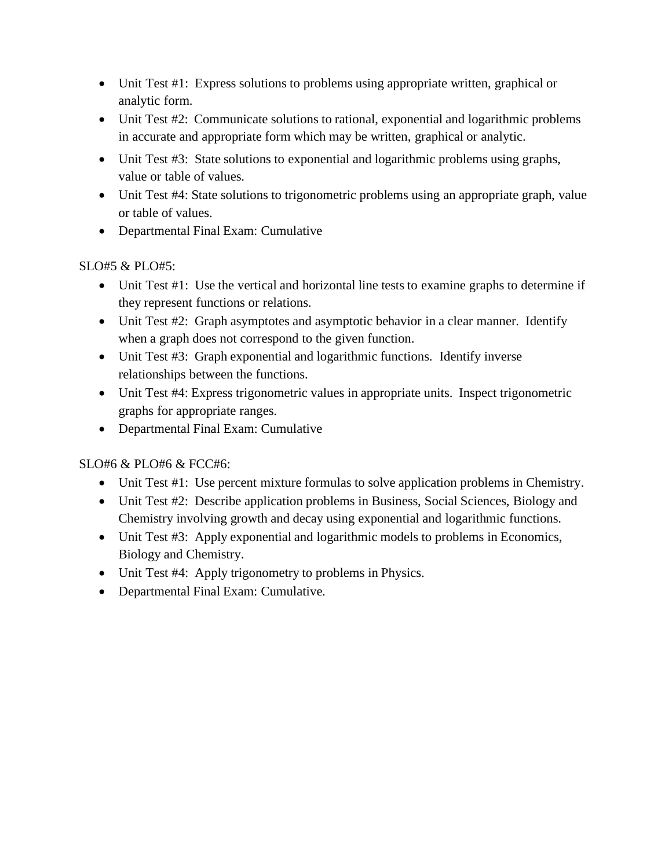- Unit Test #1: Express solutions to problems using appropriate written, graphical or analytic form.
- Unit Test #2: Communicate solutions to rational, exponential and logarithmic problems in accurate and appropriate form which may be written, graphical or analytic.
- Unit Test #3: State solutions to exponential and logarithmic problems using graphs, value or table of values.
- Unit Test #4: State solutions to trigonometric problems using an appropriate graph, value or table of values.
- Departmental Final Exam: Cumulative

## SLO#5 & PLO#5:

- Unit Test #1: Use the vertical and horizontal line tests to examine graphs to determine if they represent functions or relations.
- Unit Test #2: Graph asymptotes and asymptotic behavior in a clear manner. Identify when a graph does not correspond to the given function.
- Unit Test #3: Graph exponential and logarithmic functions. Identify inverse relationships between the functions.
- Unit Test #4: Express trigonometric values in appropriate units. Inspect trigonometric graphs for appropriate ranges.
- Departmental Final Exam: Cumulative

## SLO#6 & PLO#6 & FCC#6:

- Unit Test #1: Use percent mixture formulas to solve application problems in Chemistry.
- Unit Test #2: Describe application problems in Business, Social Sciences, Biology and Chemistry involving growth and decay using exponential and logarithmic functions.
- Unit Test #3: Apply exponential and logarithmic models to problems in Economics, Biology and Chemistry.
- Unit Test #4: Apply trigonometry to problems in Physics.
- Departmental Final Exam: Cumulative.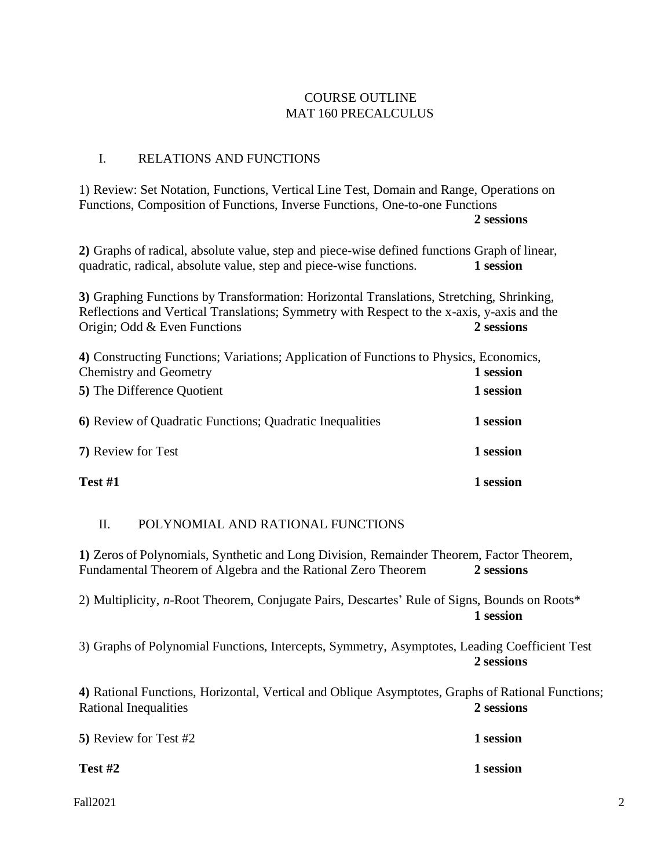### COURSE OUTLINE MAT 160 PRECALCULUS

### I. RELATIONS AND FUNCTIONS

1) Review: Set Notation, Functions, Vertical Line Test, Domain and Range, Operations on Functions, Composition of Functions, Inverse Functions, One-to-one Functions **2 sessions**

**2)** Graphs of radical, absolute value, step and piece-wise defined functions Graph of linear, quadratic, radical, absolute value, step and piece-wise functions. **1 session**

**3)** Graphing Functions by Transformation: Horizontal Translations, Stretching, Shrinking, Reflections and Vertical Translations; Symmetry with Respect to the x-axis, y-axis and the Origin; Odd & Even Functions **2 sessions**

| 4) Constructing Functions; Variations; Application of Functions to Physics, Economics,<br><b>Chemistry and Geometry</b> | 1 session |
|-------------------------------------------------------------------------------------------------------------------------|-----------|
| 5) The Difference Quotient                                                                                              | 1 session |
| 6) Review of Quadratic Functions; Quadratic Inequalities                                                                | 1 session |
| 7) Review for Test                                                                                                      | 1 session |
| Test #1                                                                                                                 | 1 session |

### II. POLYNOMIAL AND RATIONAL FUNCTIONS

**1)** Zeros of Polynomials, Synthetic and Long Division, Remainder Theorem, Factor Theorem, Fundamental Theorem of Algebra and the Rational Zero Theorem **2 sessions**

2) Multiplicity, *n*-Root Theorem, Conjugate Pairs, Descartes' Rule of Signs, Bounds on Roots\* **1 session**

3) Graphs of Polynomial Functions, Intercepts, Symmetry, Asymptotes, Leading Coefficient Test **2 sessions**

**4)** Rational Functions, Horizontal, Vertical and Oblique Asymptotes, Graphs of Rational Functions; Rational Inequalities **2 sessions**

**5)** Review for Test #2 **1 session**

**Test #2 1 session**

Fall2021 2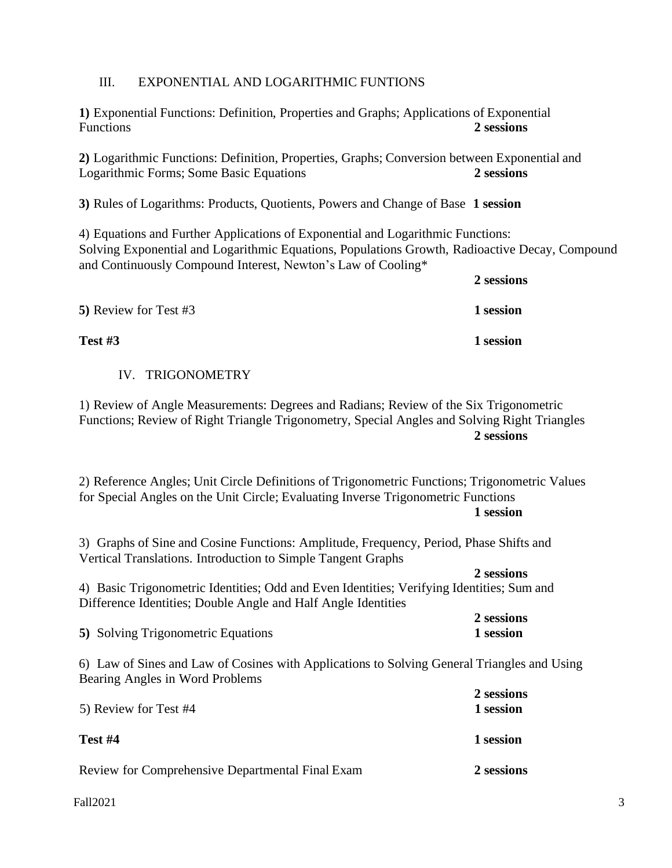### III. EXPONENTIAL AND LOGARITHMIC FUNTIONS

**1)** Exponential Functions: Definition, Properties and Graphs; Applications of Exponential Functions **2 sessions**

**2)** Logarithmic Functions: Definition, Properties, Graphs; Conversion between Exponential and Logarithmic Forms; Some Basic Equations **2 sessions**

**3)** Rules of Logarithms: Products, Quotients, Powers and Change of Base **1 session**

4) Equations and Further Applications of Exponential and Logarithmic Functions: Solving Exponential and Logarithmic Equations, Populations Growth, Radioactive Decay, Compound and Continuously Compound Interest, Newton's Law of Cooling\*

**2 sessions**

| 5) Review for Test #3 | 1 session |
|-----------------------|-----------|
| <b>Test #3</b>        | 1 session |

#### IV. TRIGONOMETRY

1) Review of Angle Measurements: Degrees and Radians; Review of the Six Trigonometric Functions; Review of Right Triangle Trigonometry, Special Angles and Solving Right Triangles **2 sessions**

2) Reference Angles; Unit Circle Definitions of Trigonometric Functions; Trigonometric Values for Special Angles on the Unit Circle; Evaluating Inverse Trigonometric Functions **1 session**

3) Graphs of Sine and Cosine Functions: Amplitude, Frequency, Period, Phase Shifts and Vertical Translations. Introduction to Simple Tangent Graphs

**2 sessions** 4) Basic Trigonometric Identities; Odd and Even Identities; Verifying Identities; Sum and Difference Identities; Double Angle and Half Angle Identities

|                                    | 2 sessions |
|------------------------------------|------------|
| 5) Solving Trigonometric Equations | 1 session  |

6) Law of Sines and Law of Cosines with Applications to Solving General Triangles and Using Bearing Angles in Word Problems

| 5) Review for Test #4                            | 2 sessions<br>1 session |
|--------------------------------------------------|-------------------------|
| Test $#4$                                        | 1 session               |
| Review for Comprehensive Departmental Final Exam | 2 sessions              |